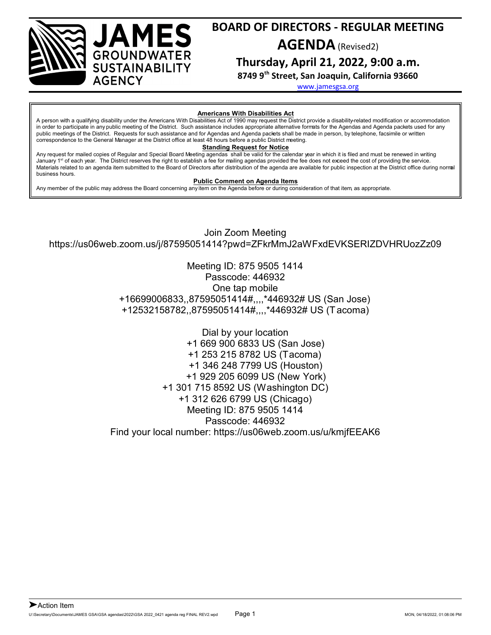

**Thursday, April 21, 2022, 9:00 a.m.**

**8749 9th Street, San Joaquin, California 93660**

[www.jamesgsa.org](http://www.jamesgsa.org)

#### **Americans With Disabilities Act**

A person with a qualifying disability under the Americans With Disabilities Act of 1990 may request the District provide a disability-related modification or accommodation in order to participate in any public meeting of the District. Such assistance includes appropriate alternative formats for the Agendas and Agenda packets used for any public meetings of the District. Requests for such assistance and for Agendas and Agenda packets shall be made in person, by telephone, facsimile or written correspondence to the General Manager at the District office at least 48 hours before a public District meeting.

#### **Standing Request for Notice**

Any request for mailed copies of Regular and Special Board Meeting agendas shall be valid for the calendar year in which it is filed and must be renewed in writing January 1<sup>st</sup> of each year. The District reserves the right to establish a fee for mailing agendas provided the fee does not exceed the cost of providing the service. Materials related to an agenda item submitted to the Board of Directors after distribution of the agenda are available for public inspection at the District office during normal business hours.

#### **Public Comment on Agenda Items**

Any member of the public may address the Board concerning any item on the Agenda before or during consideration of that item, as appropriate.

AMES

**GROUNDWATER SUSTAINABILITY** 

**AGENCY** 

Join Zoom Meeting https://us06web.zoom.us/j/87595051414?pwd=ZFkrMmJ2aWFxdEVKSERIZDVHRUozZz09

> Meeting ID: 875 9505 1414 Passcode: 446932 One tap mobile +16699006833,,87595051414#,,,,\*446932# US (San Jose) +12532158782,,87595051414#,,,,\*446932# US (Tacoma)

Dial by your location +1 669 900 6833 US (San Jose) +1 253 215 8782 US (Tacoma) +1 346 248 7799 US (Houston) +1 929 205 6099 US (New York) +1 301 715 8592 US (Washington DC) +1 312 626 6799 US (Chicago) Meeting ID: 875 9505 1414 Passcode: 446932 Find your local number: https://us06web.zoom.us/u/kmjfEEAK6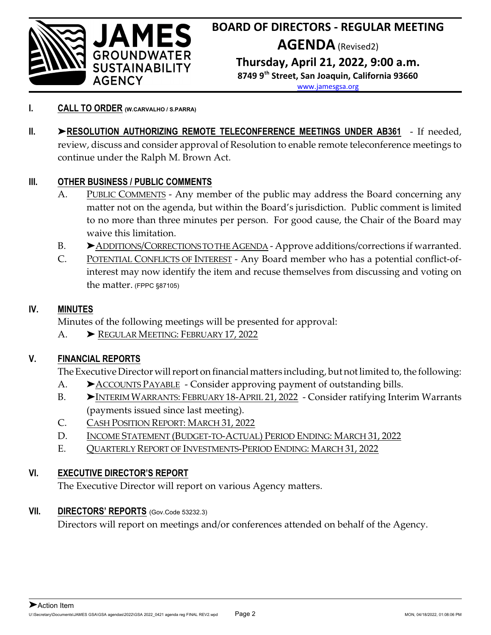

- **I. CALL TO ORDER (W.CARVALHO / S.PARRA)**
- **II.** '**RESOLUTION AUTHORIZING REMOTE TELECONFERENCE MEETINGS UNDER AB361** If needed, review, discuss and consider approval of Resolution to enable remote teleconference meetings to continue under the Ralph M. Brown Act.

## **III. OTHER BUSINESS / PUBLIC COMMENTS**

- A. PUBLIC COMMENTS Any member of the public may address the Board concerning any matter not on the agenda, but within the Board's jurisdiction. Public comment is limited to no more than three minutes per person. For good cause, the Chair of the Board may waive this limitation.
- B.  $\triangleright$  ADDITIONS/CORRECTIONS TO THE AGENDA Approve additions/corrections if warranted.
- C. POTENTIAL CONFLICTS OF INTEREST Any Board member who has a potential conflict-ofinterest may now identify the item and recuse themselves from discussing and voting on the matter. (FPPC §87105)

## **IV. MINUTES**

Minutes of the following meetings will be presented for approval:

A. > REGULAR MEETING: FEBRUARY 17, 2022

## **V. FINANCIAL REPORTS**

The Executive Director will report on financial matters including, but not limited to, the following:

- A. > ACCOUNTS PAYABLE Consider approving payment of outstanding bills.
- B. > INTERIM WARRANTS: FEBRUARY 18-APRIL 21, 2022 Consider ratifying Interim Warrants (payments issued since last meeting).
- C. CASH POSITION REPORT: MARCH 31, 2022
- D. INCOME STATEMENT (BUDGET-TO-ACTUAL) PERIOD ENDING: MARCH 31, 2022
- E. QUARTERLY REPORT OF INVESTMENTS-PERIOD ENDING: MARCH 31, 2022

## **VI. EXECUTIVE DIRECTOR'S REPORT**

The Executive Director will report on various Agency matters.

## **VII. DIRECTORS' REPORTS** (Gov.Code 53232.3)

Directors will report on meetings and/or conferences attended on behalf of the Agency.